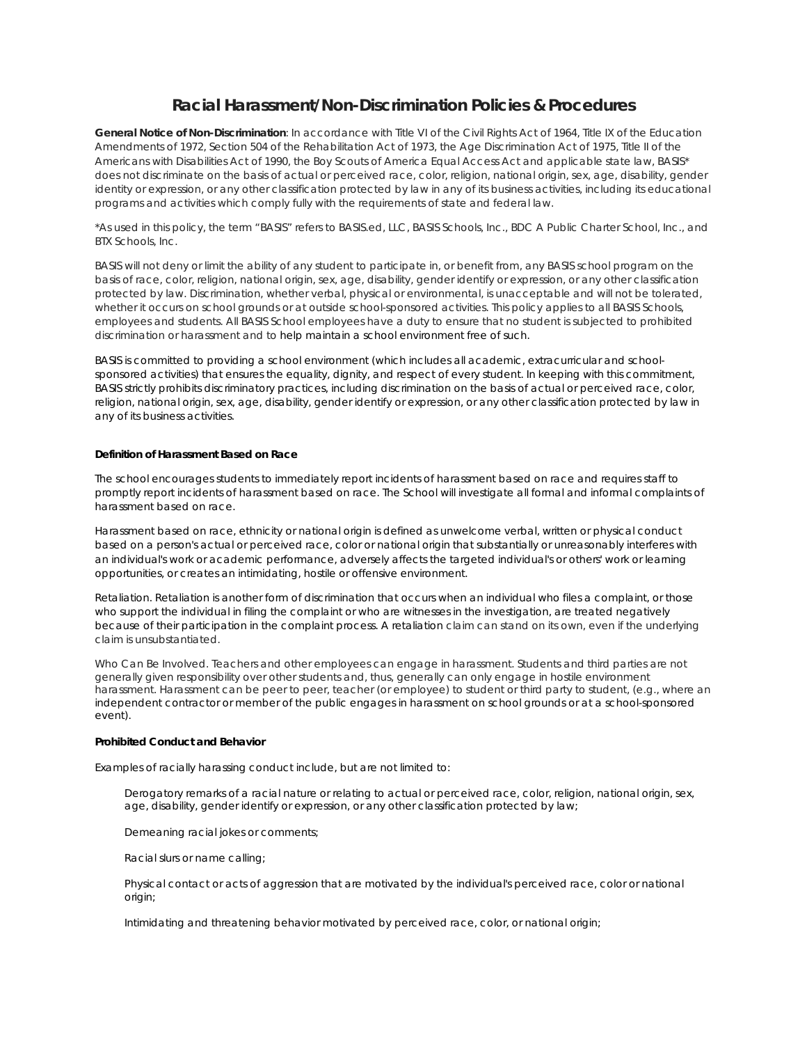# **Racial Harassment/Non-Discrimination Policies & Procedures**

**General Notice of Non-Discrimination**: In accordance with Title VI of the Civil Rights Act of 1964, Title IX of the Education Amendments of 1972, Section 504 of the Rehabilitation Act of 1973, the Age Discrimination Act of 1975, Title II of the Americans with Disabilities Act of 1990, the Boy Scouts of America Equal Access Act and applicable state law, BASIS\* does not discriminate on the basis of actual or perceived race, color, religion, national origin, sex, age, disability, gender identity or expression, or any other classification protected by law in any of its business activities, including its educational programs and activities which comply fully with the requirements of state and federal law.

\*As used in this policy, the term "BASIS" refers to BASIS.ed, LLC, BASIS Schools, Inc., BDC A Public Charter School, Inc., and BTX Schools, Inc.

BASIS will not deny or limit the ability of any student to participate in, or benefit from, any BASIS school program on the basis of race, color, religion, national origin, sex, age, disability, gender identify or expression, or any other classification protected by law. Discrimination, whether verbal, physical or environmental, is unacceptable and will not be tolerated, whether it occurs on school grounds or at outside school-sponsored activities. This policy applies to all BASIS Schools, employees and students. All BASIS School employees have a duty to ensure that no student is subjected to prohibited discrimination or harassment and to help maintain a school environment free of such.

BASIS is committed to providing a school environment (which includes all academic, extracurricular and schoolsponsored activities) that ensures the equality, dignity, and respect of every student. In keeping with this commitment, BASIS strictly prohibits discriminatory practices, including discrimination on the basis of actual or perceived race, color, religion, national origin, sex, age, disability, gender identify or expression, or any other classification protected by law in any of its business activities.

### **Definition of Harassment Based on Race**

The school encourages students to immediately report incidents of harassment based on race and requires staff to promptly report incidents of harassment based on race. The School will investigate all formal and informal complaints of harassment based on race.

Harassment based on race, ethnicity or national origin is defined as unwelcome verbal, written or physical conduct based on a person's actual or perceived race, color or national origin that substantially or unreasonably interferes with an individual's work or academic performance, adversely affects the targeted individual's or others' work or learning opportunities, or creates an intimidating, hostile or offensive environment.

Retaliation. Retaliation is another form of discrimination that occurs when an individual who files a complaint, or those who support the individual in filing the complaint or who are witnesses in the investigation, are treated negatively because of their participation in the complaint process. A retaliation claim can stand on its own, even if the underlying claim is unsubstantiated.

Who Can Be Involved. Teachers and other employees can engage in harassment. Students and third parties are not generally given responsibility over other students and, thus, generally can only engage in hostile environment harassment. Harassment can be peer to peer, teacher (or employee) to student or third party to student, (e.g., where an independent contractor or member of the public engages in harassment on school grounds or at a school-sponsored event).

#### **Prohibited Conduct and Behavior**

Examples of racially harassing conduct include, but are not limited to:

Derogatory remarks of a racial nature or relating to actual or perceived race, color, religion, national origin, sex, age, disability, gender identify or expression, or any other classification protected by law;

Demeaning racial jokes or comments;

Racial slurs or name calling;

Physical contact or acts of aggression that are motivated by the individual's perceived race, color or national origin;

Intimidating and threatening behavior motivated by perceived race, color, or national origin;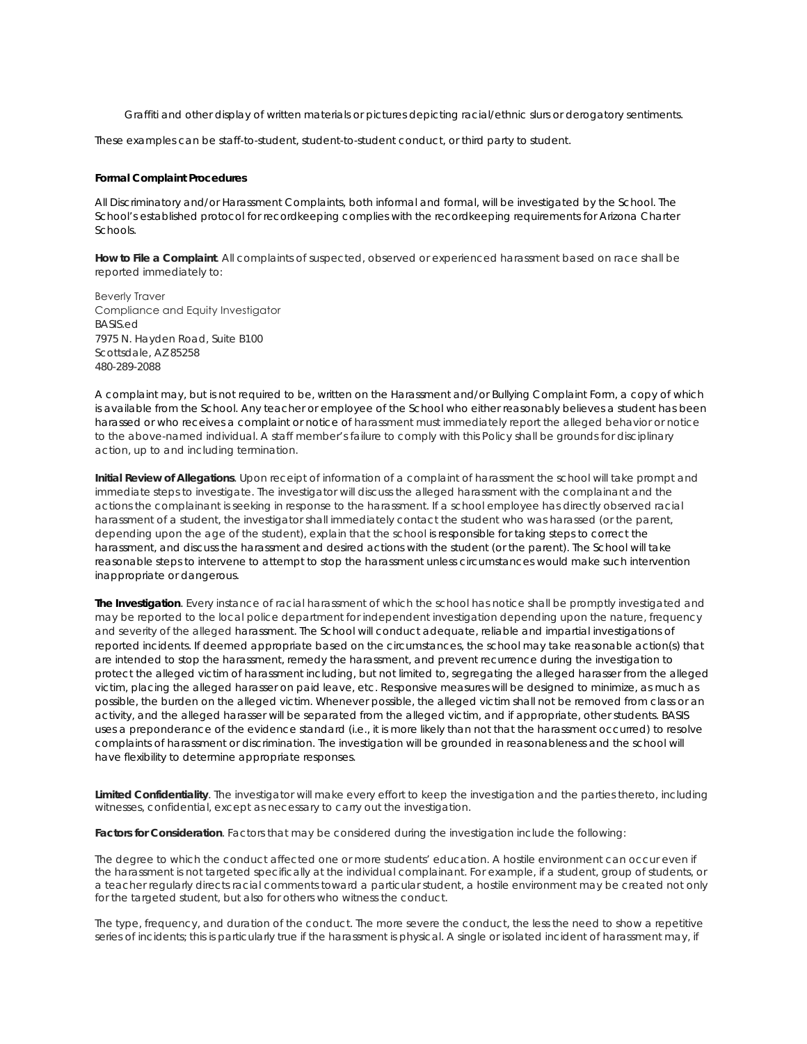Graffiti and other display of written materials or pictures depicting racial/ethnic slurs or derogatory sentiments.

These examples can be staff-to-student, student-to-student conduct, or third party to student.

#### **Formal Complaint Procedures**

All Discriminatory and/or Harassment Complaints, both informal and formal, will be investigated by the School. The School's established protocol for recordkeeping complies with the recordkeeping requirements for Arizona Charter Schools.

**How to File a Complaint**. All complaints of suspected, observed or experienced harassment based on race shall be reported immediately to:

Beverly Traver Compliance and Equity Investigator BASIS.ed 7975 N. Hayden Road, Suite B100 Scottsdale, AZ 85258 480-289-2088

A complaint may, but is not required to be, written on the Harassment and/or Bullying Complaint Form, a copy of which is available from the School. Any teacher or employee of the School who either reasonably believes a student has been harassed or who receives a complaint or notice of harassment must immediately report the alleged behavior or notice to the above-named individual. A staff member's failure to comply with this Policy shall be grounds for disciplinary action, up to and including termination.

**Initial Review of Allegations**. Upon receipt of information of a complaint of harassment the school will take prompt and immediate steps to investigate. The investigator will discuss the alleged harassment with the complainant and the actions the complainant is seeking in response to the harassment. If a school employee has directly observed racial harassment of a student, the investigator shall immediately contact the student who was harassed (or the parent, depending upon the age of the student), explain that the school is responsible for taking steps to correct the harassment, and discuss the harassment and desired actions with the student (or the parent). The School will take reasonable steps to intervene to attempt to stop the harassment unless circumstances would make such intervention inappropriate or dangerous.

**The Investigation**. Every instance of racial harassment of which the school has notice shall be promptly investigated and may be reported to the local police department for independent investigation depending upon the nature, frequency and severity of the alleged harassment. The School will conduct adequate, reliable and impartial investigations of reported incidents. If deemed appropriate based on the circumstances, the school may take reasonable action(s) that are intended to stop the harassment, remedy the harassment, and prevent recurrence during the investigation to protect the alleged victim of harassment including, but not limited to, segregating the alleged harasser from the alleged victim, placing the alleged harasser on paid leave, etc. Responsive measures will be designed to minimize, as much as possible, the burden on the alleged victim. Whenever possible, the alleged victim shall not be removed from class or an activity, and the alleged harasser will be separated from the alleged victim, and if appropriate, other students. BASIS uses a preponderance of the evidence standard (i.e., it is more likely than not that the harassment occurred) to resolve complaints of harassment or discrimination. The investigation will be grounded in reasonableness and the school will have flexibility to determine appropriate responses.

**Limited Confidentiality**. The investigator will make every effort to keep the investigation and the parties thereto, including witnesses, confidential, except as necessary to carry out the investigation.

**Factors for Consideration**. Factors that may be considered during the investigation include the following:

The degree to which the conduct affected one or more students' education. A hostile environment can occur even if the harassment is not targeted specifically at the individual complainant. For example, if a student, group of students, or a teacher regularly directs racial comments toward a particular student, a hostile environment may be created not only for the targeted student, but also for others who witness the conduct.

The type, frequency, and duration of the conduct. The more severe the conduct, the less the need to show a repetitive series of incidents; this is particularly true if the harassment is physical. A single or isolated incident of harassment may, if